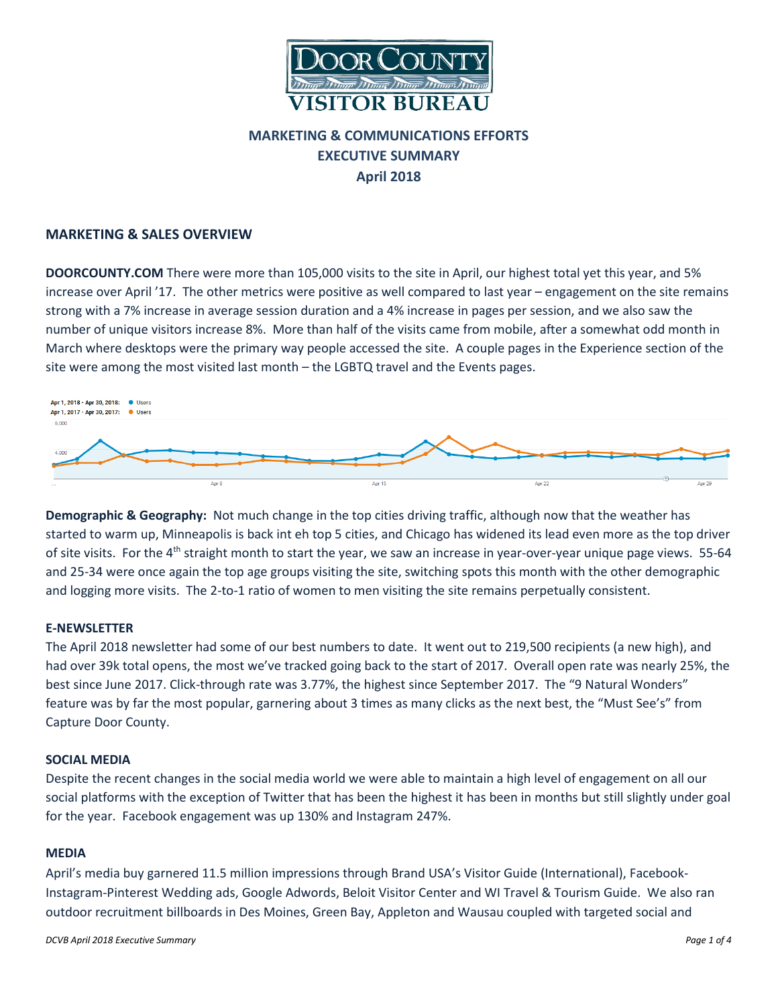

# **MARKETING & COMMUNICATIONS EFFORTS EXECUTIVE SUMMARY April 2018**

# **MARKETING & SALES OVERVIEW**

**DOORCOUNTY.COM** There were more than 105,000 visits to the site in April, our highest total yet this year, and 5% increase over April '17. The other metrics were positive as well compared to last year – engagement on the site remains strong with a 7% increase in average session duration and a 4% increase in pages per session, and we also saw the number of unique visitors increase 8%. More than half of the visits came from mobile, after a somewhat odd month in March where desktops were the primary way people accessed the site. A couple pages in the Experience section of the site were among the most visited last month – the LGBTQ travel and the Events pages.



**Demographic & Geography:** Not much change in the top cities driving traffic, although now that the weather has started to warm up, Minneapolis is back int eh top 5 cities, and Chicago has widened its lead even more as the top driver of site visits. For the  $4<sup>th</sup>$  straight month to start the year, we saw an increase in year-over-year unique page views. 55-64 and 25-34 were once again the top age groups visiting the site, switching spots this month with the other demographic and logging more visits. The 2-to-1 ratio of women to men visiting the site remains perpetually consistent.

# **E-NEWSLETTER**

The April 2018 newsletter had some of our best numbers to date. It went out to 219,500 recipients (a new high), and had over 39k total opens, the most we've tracked going back to the start of 2017. Overall open rate was nearly 25%, the best since June 2017. Click-through rate was 3.77%, the highest since September 2017. The "9 Natural Wonders" feature was by far the most popular, garnering about 3 times as many clicks as the next best, the "Must See's" from Capture Door County.

#### **SOCIAL MEDIA**

Despite the recent changes in the social media world we were able to maintain a high level of engagement on all our social platforms with the exception of Twitter that has been the highest it has been in months but still slightly under goal for the year. Facebook engagement was up 130% and Instagram 247%.

#### **MEDIA**

April's media buy garnered 11.5 million impressions through Brand USA's Visitor Guide (International), Facebook-Instagram-Pinterest Wedding ads, Google Adwords, Beloit Visitor Center and WI Travel & Tourism Guide. We also ran outdoor recruitment billboards in Des Moines, Green Bay, Appleton and Wausau coupled with targeted social and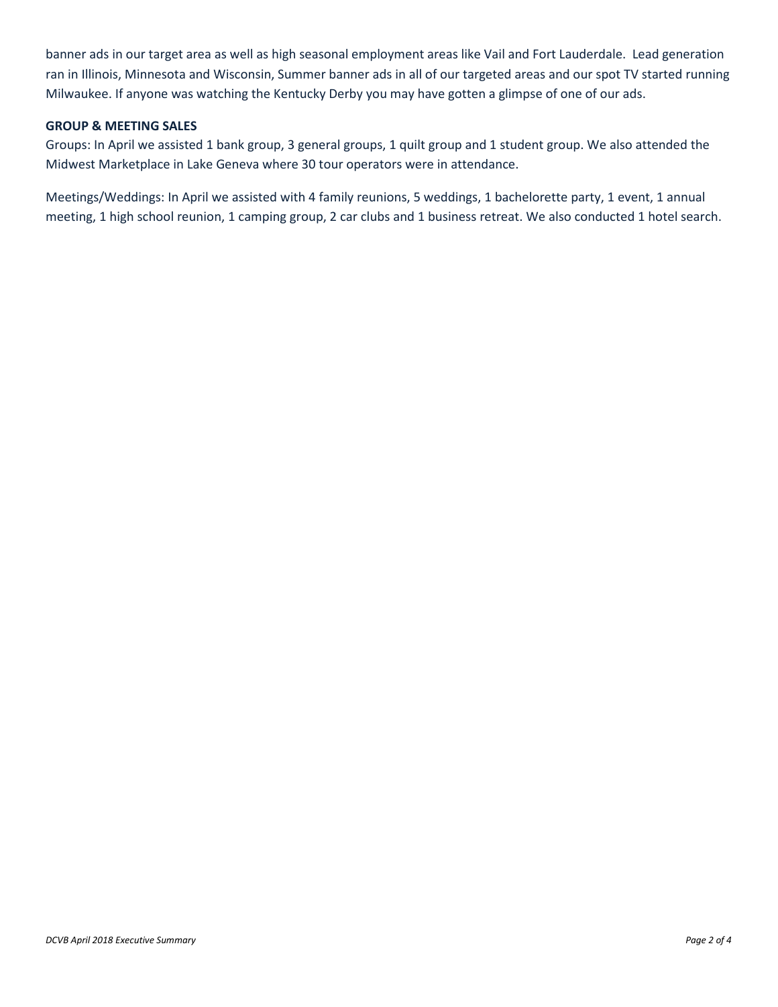banner ads in our target area as well as high seasonal employment areas like Vail and Fort Lauderdale. Lead generation ran in Illinois, Minnesota and Wisconsin, Summer banner ads in all of our targeted areas and our spot TV started running Milwaukee. If anyone was watching the Kentucky Derby you may have gotten a glimpse of one of our ads.

# **GROUP & MEETING SALES**

Groups: In April we assisted 1 bank group, 3 general groups, 1 quilt group and 1 student group. We also attended the Midwest Marketplace in Lake Geneva where 30 tour operators were in attendance.

Meetings/Weddings: In April we assisted with 4 family reunions, 5 weddings, 1 bachelorette party, 1 event, 1 annual meeting, 1 high school reunion, 1 camping group, 2 car clubs and 1 business retreat. We also conducted 1 hotel search.